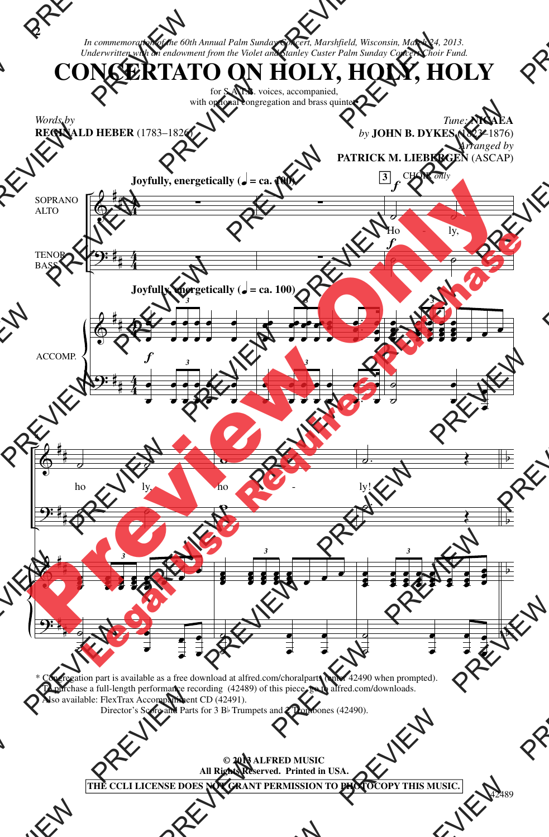*In commemoration of the 60th Annual Palm Sunday Concert, Marshfield, Wisconsin, March 24, 2013. Underwritten with an endowment from the Violet and Stanley Custer Palm Sunday Concert Choir Fund.*

## **CONCERTATO ON HOLY, HOLY, HOLY**

for S.A.T.B. voices, accompanied, with optional congregation and brass quintet•

*Words by*  **REGINALD HEBER** (1783–1826)

 $\bm{\phi}$ <u>9:</u>  $\spadesuit$ <u>9:</u> # # # # # # # # 4 4 4 4  $\frac{4}{4}$ 4  $\frac{4}{4}$ 4 SOPRANO ALTO **TENOR** BASS ACCOMP. ∑ ∑ œ œ *3* œ œ œ œ œ œ œ œ œ œ œ œ *3* œ œ œ œ œ œ œ œ œ œ  $\boldsymbol{f}$ **Joyfully, energetically (** $\sqrt{ } =$  **ca. 100) Joyfully, energetically (** $\epsilon$  **= ca. 100)** ∑ ∑  $\frac{1}{\bullet}$ œ *3* œœ œ œœ œ œœ œ œ œ œ . . . œ œ œ œ œ œ œ œ *3* œ œ œ œ œ œ œ œ . . œ œ œ œ **Ö**  $Ho$  ly,  $\overline{\phantom{a}}$ œ œ œ œ *3* œ e o œ œ œ œ e<br>C œ œ e<br>e œ œ œ œ œ  $\bullet$ œ œ ˙  $\frac{1}{2}$ œ œ œ œ  $\boldsymbol{f}$ f **3** # # # # # # # #  $\overline{\phantom{a}}$   $\overline{\phantom{a}}$ ho  $-$  ly,  $\rho$   $\rho$ œ œ œ *3* œ œ œ œ e<br>e œ œ œ œ œ œ œ œ œ œ ˙  $\frac{1}{\sigma}$ œ œ œ œ œ œ **v** ho  $\overline{\mathbf{e}}$ œ œ œ *3* œ œ œ œ œ œ œ œ œ œ œ  $\bullet$ œ œ ˙  $\overline{a}$ œ œ œ œ  $\overrightarrow{c}$ . ly!  $\overline{\rho}$ . Œ œ œ œ *3* œ œ œ œ e<br>S œ œ œ œ œ œ œ œ œ œ e<br>S œ œ œ ĕ<br>Ö ˙  $\frac{1}{2}$ œ œ œ œ œ œ -  *by* **JOHN B. DYKES** (1823–1876) *Arranged by* **PATRICK M. LIEBERGEN** (ASCAP) CHOIR *only* PREVIEW THE CONCERTATIO ON HOLY, Here the state of the CONCERTATIO ON HOLY, Here  $\frac{1}{10}$  for S.A.T.B. voices, accompaned,<br>
Words by<br>
Words by<br>
Words by<br>
NeGINALD HEBER (1783-1826)<br>
ACGINALD HEBER (1783-1826)<br>
PAT<br>
TENO PREVIEW THE CONCERTATO ON HOT UNITS ATTENDED IN A CONCERTATION ON HOT USE CONCERTATION ON HOT USE ATTENDED TO A LOT USE THE VIRGINAL DIEBER (1783–1826)<br>
Worlds by<br>
Worlds by<br>
NEGENALD HEBER (1783–1826)<br>
SUGGENALD HEBER (1 PREVIEW PREVIEW PREVIEW PREVIEW PREVIEW PREVIEW PREVIEW PREVIEW PREVIEW PREVIEW PREVIEW PREVIEW PREVIEW PREVIEW PREVIEW PREVIEW PREVIEW PREVIEW PREVIEW PREVIEW PREVIEW PREVIEW PREVIEW PREVIEW PREVIEW PREVIEW PREVIEW PREVI CONCERTATO ON HOLY, HOLY, H<br>
EXCENSION BEEN (173-1820)<br>
PRESERVENT PREVIEW PREVIEW PREVIEW PREVIEW PREVIEW PREVIEW PREVIEW PREVIEW PREVIEW PREVIEW PREVIEW PREVIEW PR<br>
PREVIEW PREVIEW PREVIEW PREVIEW PREVIEW PREVIEW PREVIEW PREVIEW PREVIEW PREVIEW PREVIEW PREVIEW PREVIEW PREVIEW PREVIEW PREVIEW PREVIEW PREVIEW PREVIEW PREVIEW PREVIEW PREVIEW PREVIEW PREVIEW PREVIEW PREVIEW PREVIEW PREVIEW PREVIEW PREVIEW PREVIEW PREVIEW PREVIEW PREVIEW PREVIE PREVIEW PREVIEW PREVIEW PREVIEW PREVIEW PREVIEW PREVIEW PREVIEW PREVIEW PREVIEW PREVIEW PREVIEW PREVIEW PREVIEW PREVIEW PREVIEW PREVIEW PREVIEW PREVIEW PREVIEW PREVIEW PREVIEW PREVIEW PREVIEW PREVIEW PREVIEW PREVIEW PREVIEW PREVIEW PREVIEW PREVIEW PREVIEW PREVIEW PREVIEW PREVIEW PREVIEW PREVIEW PREVIEW PREVIEW PREVIEW PREVI PREVIEW PREVIEW PREVIEW PREVIEW PREVIEW PREVIEW PREVIEW PREVIEW PREVIEW PREVIEW PREVIEW PREVIEW PREVIEW PREVIEW PREVIEW PREVIEW PREVIEW PREVIEW PREVIEW PREVIEW PREVIEW PREVIEW PREVIEW PREVIEW PREVIEW PREVIEW PREVIEW PREVIEW PREVIEW PREVIEW PREVIEW PREVIEW PREVIEW PREVIEW PREVIE PREVIEW PREVIEW PREVIEW PREVIEW PREVIEW PREVIEW PREVIEW PREVIEW PREVIEW PREVIEW PREVIEW PREVIEW PREVIEW PREVIEW PREVIEW PREVIEW PREVIEW PREVIEW PREVIEW PREVIEW PREVIEW PREVIEW PREVIEW PREVIEW PREVIEW PREVIEW PREVIEW PREVIE Preview Only Printed Concernsions Concerns Purchase Purchase Purchase Purchase Purchase Purchase Purchase Purchase Purchase Purchase Purchase Purchase Purchase Purchase Purchase Purchase Purchase Purchase Purchase Purchase Purchase Pur

\* Congregation part is available as a free download at alfred.com/choralparts (enter 42490 when prompted). To purchase a full-length performance recording (42489) of this piece, go to alfred.com/downloads. Also available: FlexTrax Accompaniment CD (42491). Director's Score and Parts for 3 Bb Trumpets and 2 Trombones (42490).

> **© 2013 ALFRED MUSIC All Rights Reserved. Printed in USA.**

**THE CCLI LICENSE DOES NOT GRANT PERMISSION TO PHOTOCOPY THIS MUSIC.**

 $\bm{\phi}$ 

4

<u>9:</u>

 $\boldsymbol{\phi}$ 

<u>9:</u>

b

*Tune:* **NICAEA**

b

b

b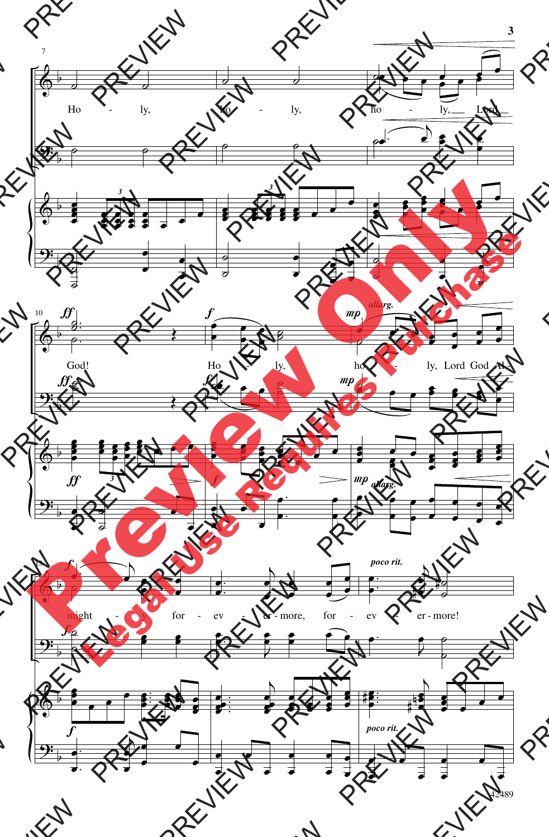

42489

 $\frac{3}{1}$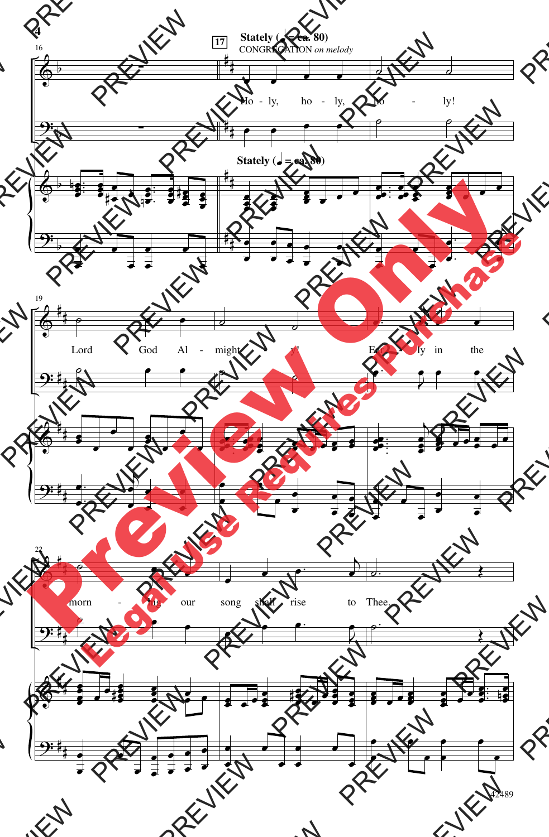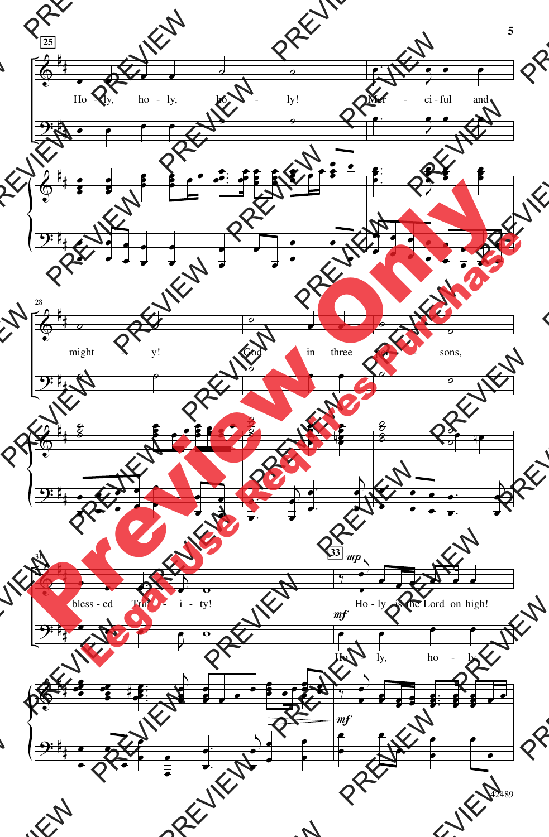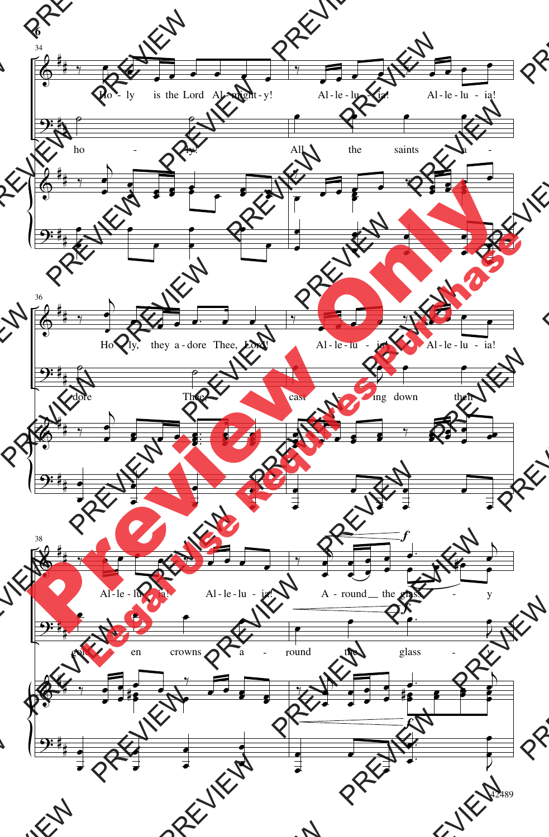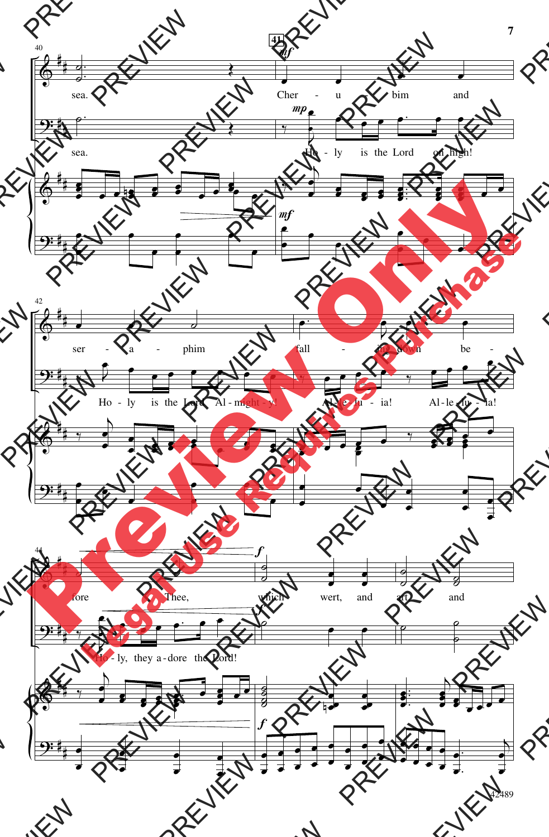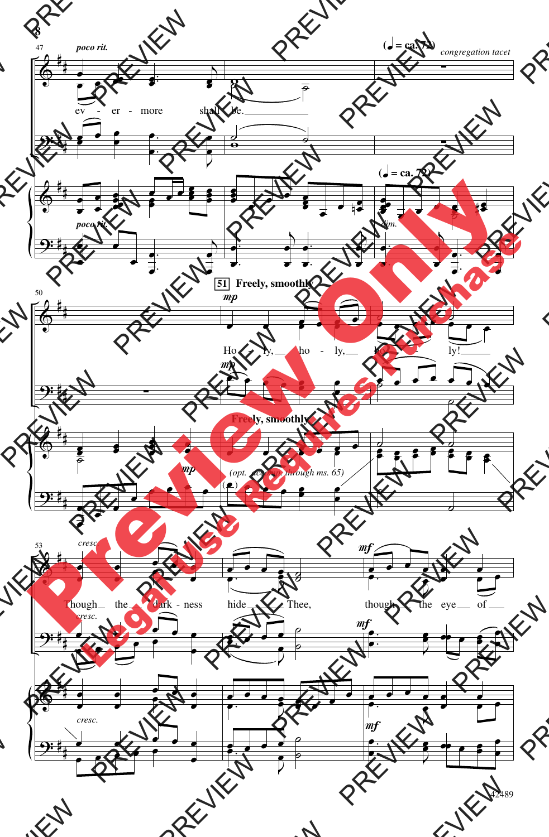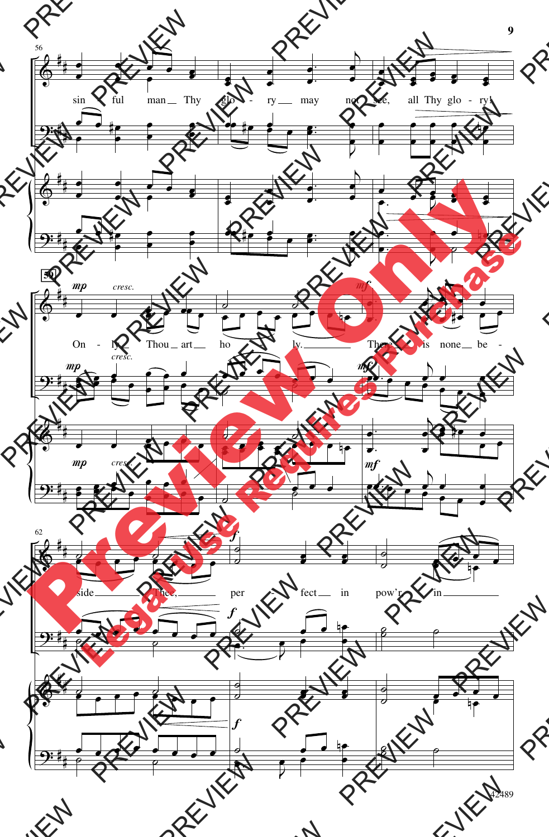

 $\boldsymbol{9}$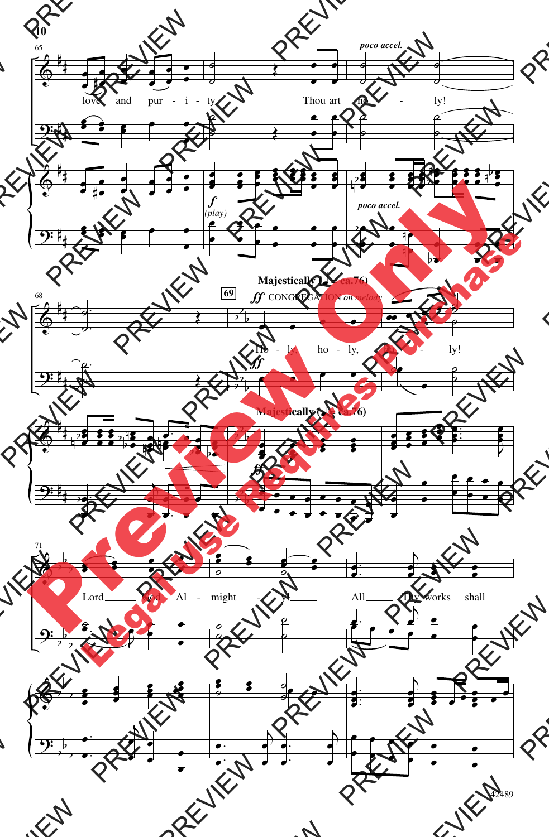